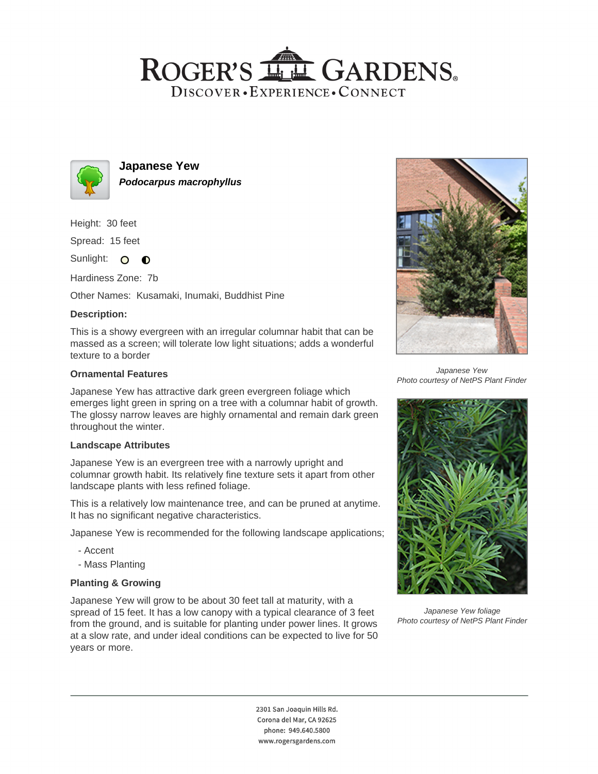# ROGER'S LL GARDENS. DISCOVER · EXPERIENCE · CONNECT



**Japanese Yew Podocarpus macrophyllus**

Height: 30 feet

Spread: 15 feet

Sunlight: O **O** 

Hardiness Zone: 7b

Other Names: Kusamaki, Inumaki, Buddhist Pine

# **Description:**

This is a showy evergreen with an irregular columnar habit that can be massed as a screen; will tolerate low light situations; adds a wonderful texture to a border

### **Ornamental Features**

Japanese Yew has attractive dark green evergreen foliage which emerges light green in spring on a tree with a columnar habit of growth. The glossy narrow leaves are highly ornamental and remain dark green throughout the winter.

#### **Landscape Attributes**

Japanese Yew is an evergreen tree with a narrowly upright and columnar growth habit. Its relatively fine texture sets it apart from other landscape plants with less refined foliage.

This is a relatively low maintenance tree, and can be pruned at anytime. It has no significant negative characteristics.

Japanese Yew is recommended for the following landscape applications;

- Accent
- Mass Planting

# **Planting & Growing**

Japanese Yew will grow to be about 30 feet tall at maturity, with a spread of 15 feet. It has a low canopy with a typical clearance of 3 feet from the ground, and is suitable for planting under power lines. It grows at a slow rate, and under ideal conditions can be expected to live for 50 years or more.



Japanese Yew Photo courtesy of NetPS Plant Finder



Japanese Yew foliage Photo courtesy of NetPS Plant Finder

2301 San Joaquin Hills Rd. Corona del Mar, CA 92625 phone: 949.640.5800 www.rogersgardens.com